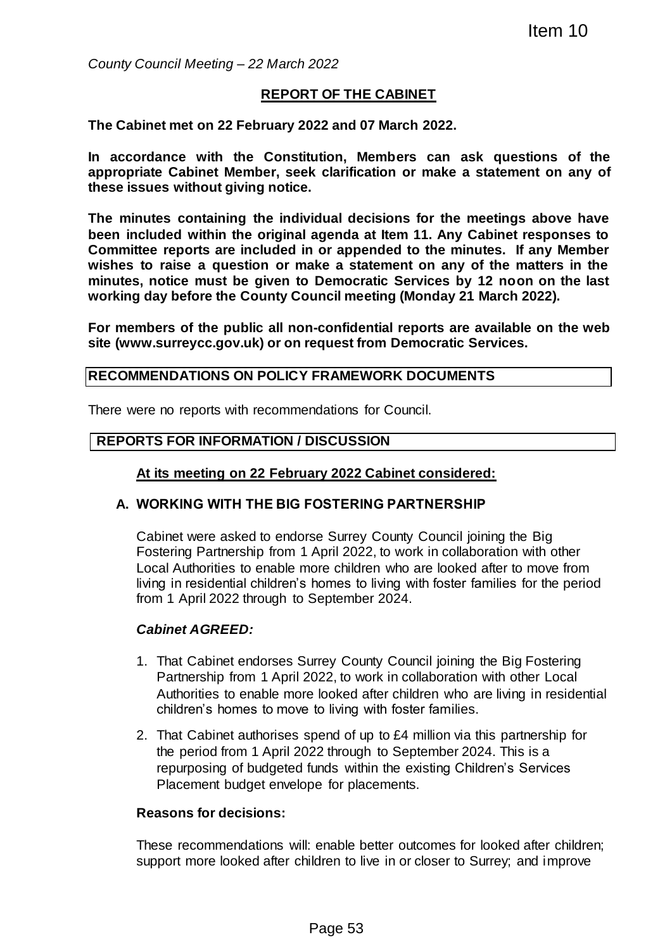*County Council Meeting – 22 March 2022*

### **REPORT OF THE CABINET**

**The Cabinet met on 22 February 2022 and 07 March 2022.**

**In accordance with the Constitution, Members can ask questions of the appropriate Cabinet Member, seek clarification or make a statement on any of these issues without giving notice.**

**The minutes containing the individual decisions for the meetings above have been included within the original agenda at Item 11. Any Cabinet responses to Committee reports are included in or appended to the minutes. If any Member wishes to raise a question or make a statement on any of the matters in the minutes, notice must be given to Democratic Services by 12 noon on the last working day before the County Council meeting (Monday 21 March 2022).** Item 10<br>
Item 10<br>
2022<br>
TOF THE CABINET<br>
222 and 07 March 2022.<br>
ution, Members can ask questions of<br>
k clarification or make a statement on any<br>
idual decisions for the meetings above h.<br>
agenda at item 11. Any Cabinet re

**For members of the public all non-confidential reports are available on the web site (www.surreycc.gov.uk) or on request from Democratic Services.**

#### **RECOMMENDATIONS ON POLICY FRAMEWORK DOCUMENTS**

There were no reports with recommendations for Council.

#### **REPORTS FOR INFORMATION / DISCUSSION**

#### **At its meeting on 22 February 2022 Cabinet considered:**

#### **A. WORKING WITH THE BIG FOSTERING PARTNERSHIP**

Cabinet were asked to endorse Surrey County Council joining the Big Fostering Partnership from 1 April 2022, to work in collaboration with other Local Authorities to enable more children who are looked after to move from living in residential children's homes to living with foster families for the period from 1 April 2022 through to September 2024.

### *Cabinet AGREED:*

- 1. That Cabinet endorses Surrey County Council joining the Big Fostering Partnership from 1 April 2022, to work in collaboration with other Local Authorities to enable more looked after children who are living in residential children's homes to move to living with foster families.
- 2. That Cabinet authorises spend of up to £4 million via this partnership for the period from 1 April 2022 through to September 2024. This is a repurposing of budgeted funds within the existing Children's Services Placement budget envelope for placements.

#### **Reasons for decisions:**

These recommendations will: enable better outcomes for looked after children; support more looked after children to live in or closer to Surrey; and improve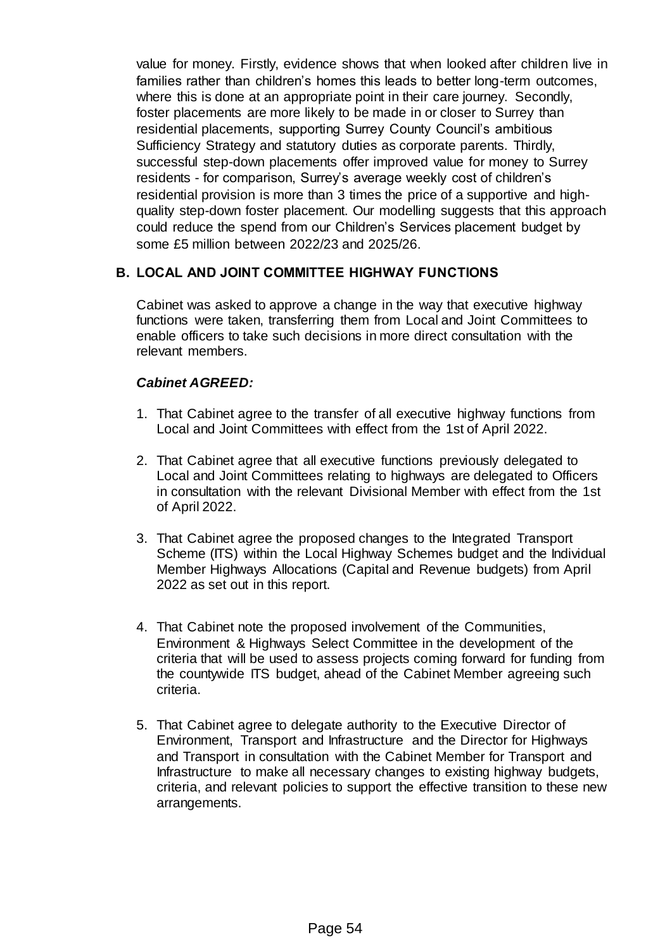value for money. Firstly, evidence shows that when looked after children live in families rather than children's homes this leads to better long-term outcomes, where this is done at an appropriate point in their care journey. Secondly, foster placements are more likely to be made in or closer to Surrey than residential placements, supporting Surrey County Council's ambitious Sufficiency Strategy and statutory duties as corporate parents. Thirdly, successful step-down placements offer improved value for money to Surrey residents - for comparison, Surrey's average weekly cost of children's residential provision is more than 3 times the price of a supportive and highquality step-down foster placement. Our modelling suggests that this approach could reduce the spend from our Children's Services placement budget by some £5 million between 2022/23 and 2025/26.

# **B. LOCAL AND JOINT COMMITTEE HIGHWAY FUNCTIONS**

Cabinet was asked to approve a change in the way that executive highway functions were taken, transferring them from Local and Joint Committees to enable officers to take such decisions in more direct consultation with the relevant members.

# *Cabinet AGREED:*

- 1. That Cabinet agree to the transfer of all executive highway functions from Local and Joint Committees with effect from the 1st of April 2022.
- 2. That Cabinet agree that all executive functions previously delegated to Local and Joint Committees relating to highways are delegated to Officers in consultation with the relevant Divisional Member with effect from the 1st of April 2022.
- 3. That Cabinet agree the proposed changes to the Integrated Transport Scheme (ITS) within the Local Highway Schemes budget and the Individual Member Highways Allocations (Capital and Revenue budgets) from April 2022 as set out in this report.
- 4. That Cabinet note the proposed involvement of the Communities, Environment & Highways Select Committee in the development of the criteria that will be used to assess projects coming forward for funding from the countywide ITS budget, ahead of the Cabinet Member agreeing such criteria.
- 5. That Cabinet agree to delegate authority to the Executive Director of Environment, Transport and Infrastructure and the Director for Highways and Transport in consultation with the Cabinet Member for Transport and Infrastructure to make all necessary changes to existing highway budgets, criteria, and relevant policies to support the effective transition to these new arrangements.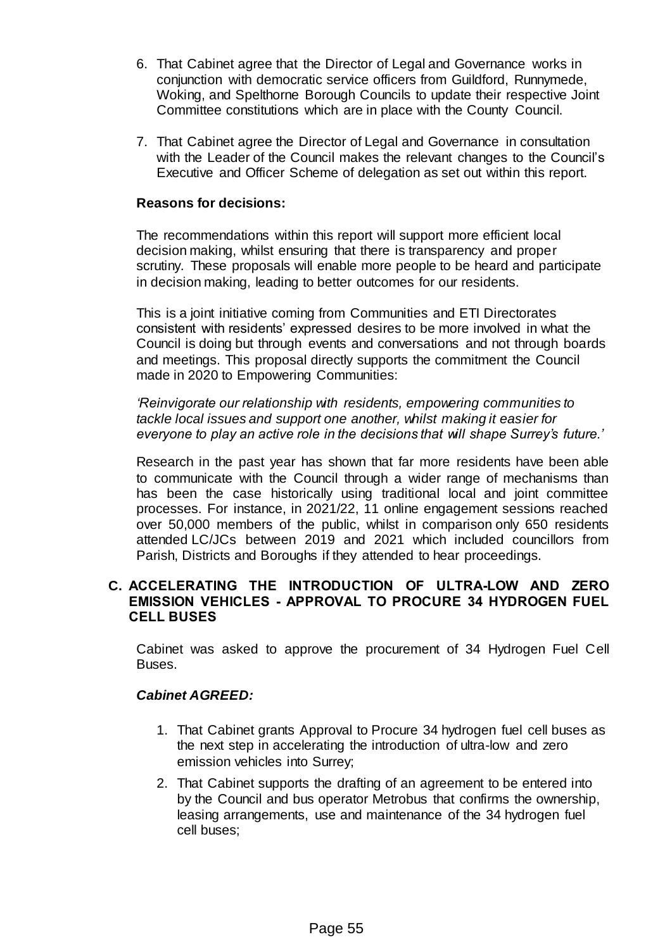- 6. That Cabinet agree that the Director of Legal and Governance works in conjunction with democratic service officers from Guildford, Runnymede, Woking, and Spelthorne Borough Councils to update their respective Joint Committee constitutions which are in place with the County Council.
- 7. That Cabinet agree the Director of Legal and Governance in consultation with the Leader of the Council makes the relevant changes to the Council's Executive and Officer Scheme of delegation as set out within this report.

#### **Reasons for decisions:**

The recommendations within this report will support more efficient local decision making, whilst ensuring that there is transparency and proper scrutiny. These proposals will enable more people to be heard and participate in decision making, leading to better outcomes for our residents.

This is a joint initiative coming from Communities and ETI Directorates consistent with residents' expressed desires to be more involved in what the Council is doing but through events and conversations and not through boards and meetings. This proposal directly supports the commitment the Council made in 2020 to Empowering Communities:

*'Reinvigorate our relationship with residents, empowering communities to tackle local issues and support one another, whilst making it easier for everyone to play an active role in the decisions that will shape Surrey's future.'*

Research in the past year has shown that far more residents have been able to communicate with the Council through a wider range of mechanisms than has been the case historically using traditional local and joint committee processes. For instance, in 2021/22, 11 online engagement sessions reached over 50,000 members of the public, whilst in comparison only 650 residents attended LC/JCs between 2019 and 2021 which included councillors from Parish, Districts and Boroughs if they attended to hear proceedings.

### **C. ACCELERATING THE INTRODUCTION OF ULTRA-LOW AND ZERO EMISSION VEHICLES - APPROVAL TO PROCURE 34 HYDROGEN FUEL CELL BUSES**

Cabinet was asked to approve the procurement of 34 Hydrogen Fuel Cell Buses.

### *Cabinet AGREED:*

- 1. That Cabinet grants Approval to Procure 34 hydrogen fuel cell buses as the next step in accelerating the introduction of ultra-low and zero emission vehicles into Surrey;
- 2. That Cabinet supports the drafting of an agreement to be entered into by the Council and bus operator Metrobus that confirms the ownership, leasing arrangements, use and maintenance of the 34 hydrogen fuel cell buses;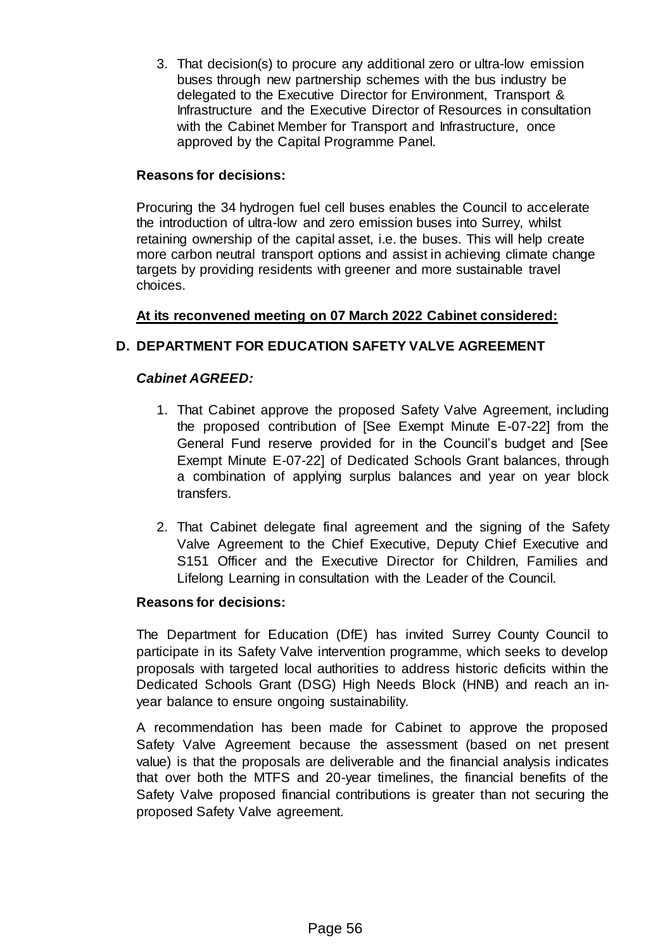3. That decision(s) to procure any additional zero or ultra-low emission buses through new partnership schemes with the bus industry be delegated to the Executive Director for Environment, Transport & Infrastructure and the Executive Director of Resources in consultation with the Cabinet Member for Transport and Infrastructure, once approved by the Capital Programme Panel.

# **Reasons for decisions:**

Procuring the 34 hydrogen fuel cell buses enables the Council to accelerate the introduction of ultra-low and zero emission buses into Surrey, whilst retaining ownership of the capital asset, i.e. the buses. This will help create more carbon neutral transport options and assist in achieving climate change targets by providing residents with greener and more sustainable travel choices.

# **At its reconvened meeting on 07 March 2022 Cabinet considered:**

# **D. DEPARTMENT FOR EDUCATION SAFETY VALVE AGREEMENT**

# *Cabinet AGREED:*

- 1. That Cabinet approve the proposed Safety Valve Agreement, including the proposed contribution of [See Exempt Minute E-07-22] from the General Fund reserve provided for in the Council's budget and [See Exempt Minute E-07-22] of Dedicated Schools Grant balances, through a combination of applying surplus balances and year on year block transfers.
- 2. That Cabinet delegate final agreement and the signing of the Safety Valve Agreement to the Chief Executive, Deputy Chief Executive and S151 Officer and the Executive Director for Children, Families and Lifelong Learning in consultation with the Leader of the Council.

# **Reasons for decisions:**

The Department for Education (DfE) has invited Surrey County Council to participate in its Safety Valve intervention programme, which seeks to develop proposals with targeted local authorities to address historic deficits within the Dedicated Schools Grant (DSG) High Needs Block (HNB) and reach an inyear balance to ensure ongoing sustainability.

A recommendation has been made for Cabinet to approve the proposed Safety Valve Agreement because the assessment (based on net present value) is that the proposals are deliverable and the financial analysis indicates that over both the MTFS and 20-year timelines, the financial benefits of the Safety Valve proposed financial contributions is greater than not securing the proposed Safety Valve agreement.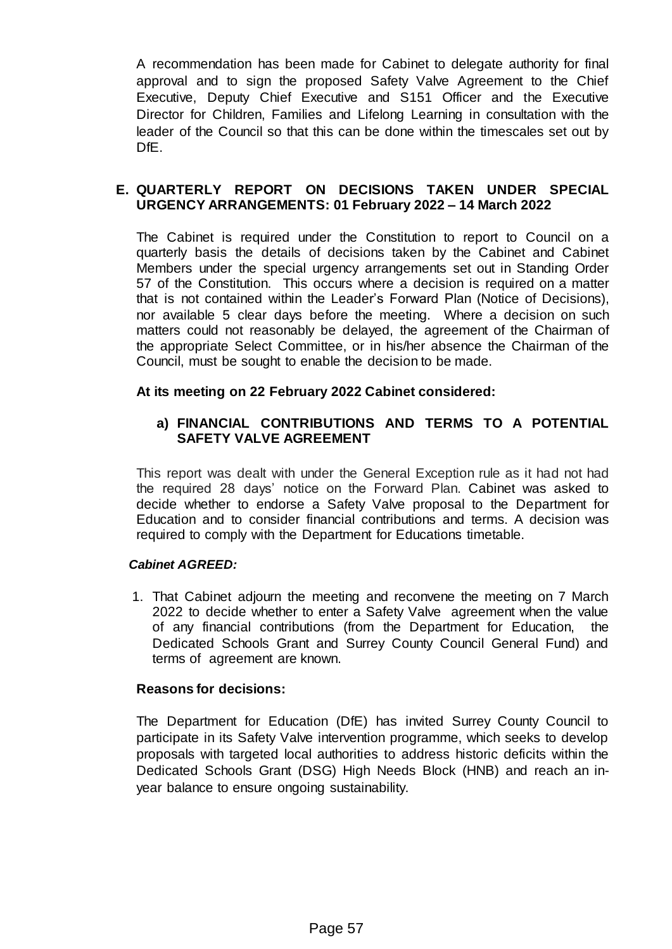A recommendation has been made for Cabinet to delegate authority for final approval and to sign the proposed Safety Valve Agreement to the Chief Executive, Deputy Chief Executive and S151 Officer and the Executive Director for Children, Families and Lifelong Learning in consultation with the leader of the Council so that this can be done within the timescales set out by DfE.

## **E. QUARTERLY REPORT ON DECISIONS TAKEN UNDER SPECIAL URGENCY ARRANGEMENTS: 01 February 2022 – 14 March 2022**

The Cabinet is required under the Constitution to report to Council on a quarterly basis the details of decisions taken by the Cabinet and Cabinet Members under the special urgency arrangements set out in Standing Order 57 of the Constitution. This occurs where a decision is required on a matter that is not contained within the Leader's Forward Plan (Notice of Decisions), nor available 5 clear days before the meeting. Where a decision on such matters could not reasonably be delayed, the agreement of the Chairman of the appropriate Select Committee, or in his/her absence the Chairman of the Council, must be sought to enable the decision to be made.

# **At its meeting on 22 February 2022 Cabinet considered:**

# **a) FINANCIAL CONTRIBUTIONS AND TERMS TO A POTENTIAL SAFETY VALVE AGREEMENT**

This report was dealt with under the General Exception rule as it had not had the required 28 days' notice on the Forward Plan. Cabinet was asked to decide whether to endorse a Safety Valve proposal to the Department for Education and to consider financial contributions and terms. A decision was required to comply with the Department for Educations timetable.

### *Cabinet AGREED:*

1. That Cabinet adjourn the meeting and reconvene the meeting on 7 March 2022 to decide whether to enter a Safety Valve agreement when the value of any financial contributions (from the Department for Education, the Dedicated Schools Grant and Surrey County Council General Fund) and terms of agreement are known.

### **Reasons for decisions:**

The Department for Education (DfE) has invited Surrey County Council to participate in its Safety Valve intervention programme, which seeks to develop proposals with targeted local authorities to address historic deficits within the Dedicated Schools Grant (DSG) High Needs Block (HNB) and reach an inyear balance to ensure ongoing sustainability.